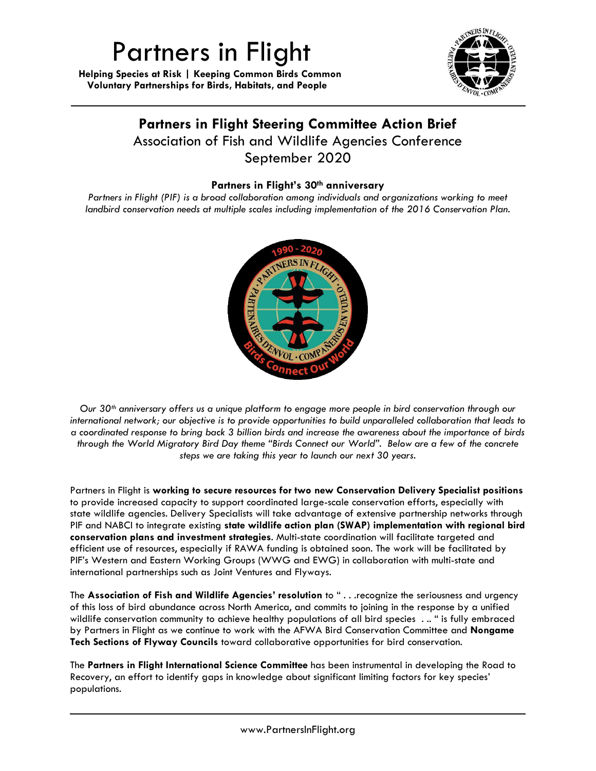## Partners in Flight

 **Helping Species at Risk | Keeping Common Birds Common Voluntary Partnerships for Birds, Habitats, and People**



## **Partners in Flight Steering Committee Action Brief** Association of Fish and Wildlife Agencies Conference September 2020

## **Partners in Flight's 30th anniversary**

*Partners in Flight (PIF) is a broad collaboration among individuals and organizations working to meet landbird conservation needs at multiple scales including implementation of the 2016 Conservation Plan.* 



*Our 30th anniversary offers us a unique platform to engage more people in bird conservation through our international network; our objective is to provide opportunities to build unparalleled collaboration that leads to a coordinated response to bring back 3 billion birds and increase the awareness about the importance of birds through the World Migratory Bird Day theme "Birds Connect our World". Below are a few of the concrete steps we are taking this year to launch our next 30 years.* 

Partners in Flight is **working to secure resources for two new Conservation Delivery Specialist positions** to provide increased capacity to support coordinated large-scale conservation efforts, especially with state wildlife agencies. Delivery Specialists will take advantage of extensive partnership networks through PIF and NABCI to integrate existing **state wildlife action plan (SWAP) implementation with regional bird conservation plans and investment strategies**. Multi-state coordination will facilitate targeted and efficient use of resources, especially if RAWA funding is obtained soon. The work will be facilitated by PIF's Western and Eastern Working Groups (WWG and EWG) in collaboration with multi-state and international partnerships such as Joint Ventures and Flyways.

The **Association of Fish and Wildlife Agencies' resolution** to " . . .recognize the seriousness and urgency of this loss of bird abundance across North America, and commits to joining in the response by a unified wildlife conservation community to achieve healthy populations of all bird species . .. " is fully embraced by Partners in Flight as we continue to work with the AFWA Bird Conservation Committee and **Nongame Tech Sections of Flyway Councils** toward collaborative opportunities for bird conservation.

The **Partners in Flight International Science Committee** has been instrumental in developing the Road to Recovery, an effort to identify gaps in knowledge about significant limiting factors for key species' populations.